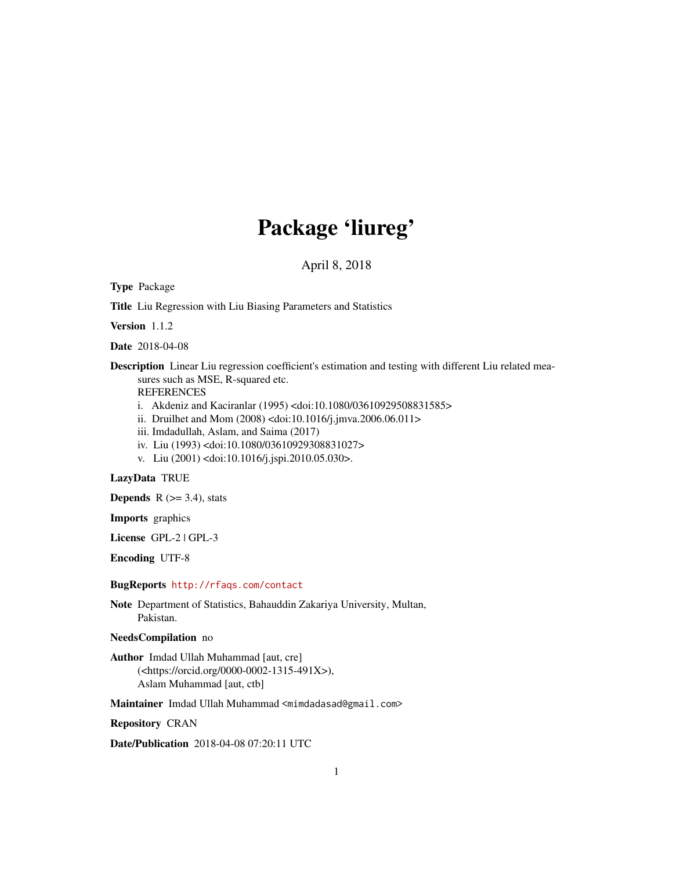# Package 'liureg'

April 8, 2018

<span id="page-0-0"></span>Type Package

Title Liu Regression with Liu Biasing Parameters and Statistics

Version 1.1.2

Date 2018-04-08

Description Linear Liu regression coefficient's estimation and testing with different Liu related measures such as MSE, R-squared etc.

REFERENCES

- i. Akdeniz and Kaciranlar (1995) <doi:10.1080/03610929508831585>
- ii. Druilhet and Mom (2008) <doi:10.1016/j.jmva.2006.06.011>
- iii. Imdadullah, Aslam, and Saima (2017)
- iv. Liu (1993) <doi:10.1080/03610929308831027>
- v. Liu (2001) <doi:10.1016/j.jspi.2010.05.030>.

## LazyData TRUE

**Depends**  $R$  ( $>=$  3.4), stats

Imports graphics

License GPL-2 | GPL-3

Encoding UTF-8

#### BugReports <http://rfaqs.com/contact>

Note Department of Statistics, Bahauddin Zakariya University, Multan, Pakistan.

NeedsCompilation no

Author Imdad Ullah Muhammad [aut, cre] (<https://orcid.org/0000-0002-1315-491X>), Aslam Muhammad [aut, ctb]

Maintainer Imdad Ullah Muhammad <mimdadasad@gmail.com>

Repository CRAN

Date/Publication 2018-04-08 07:20:11 UTC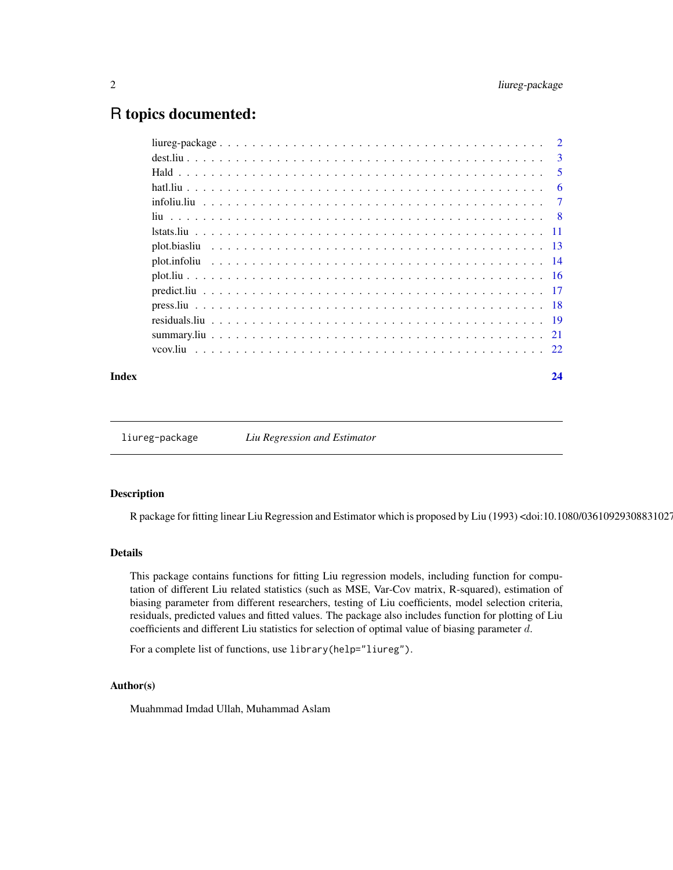# <span id="page-1-0"></span>R topics documented:

| $\overline{3}$ |
|----------------|
| $\overline{5}$ |
| 6              |
|                |
|                |
|                |
|                |
|                |
|                |
|                |
|                |
|                |
|                |
|                |
|                |

#### **Index** [24](#page-23-0)

liureg-package *Liu Regression and Estimator*

## Description

R package for fitting linear Liu Regression and Estimator which is proposed by Liu (1993) <doi:10.1080/03610929308831027>.

#### Details

This package contains functions for fitting Liu regression models, including function for computation of different Liu related statistics (such as MSE, Var-Cov matrix, R-squared), estimation of biasing parameter from different researchers, testing of Liu coefficients, model selection criteria, residuals, predicted values and fitted values. The package also includes function for plotting of Liu coefficients and different Liu statistics for selection of optimal value of biasing parameter d.

For a complete list of functions, use library(help="liureg").

## Author(s)

Muahmmad Imdad Ullah, Muhammad Aslam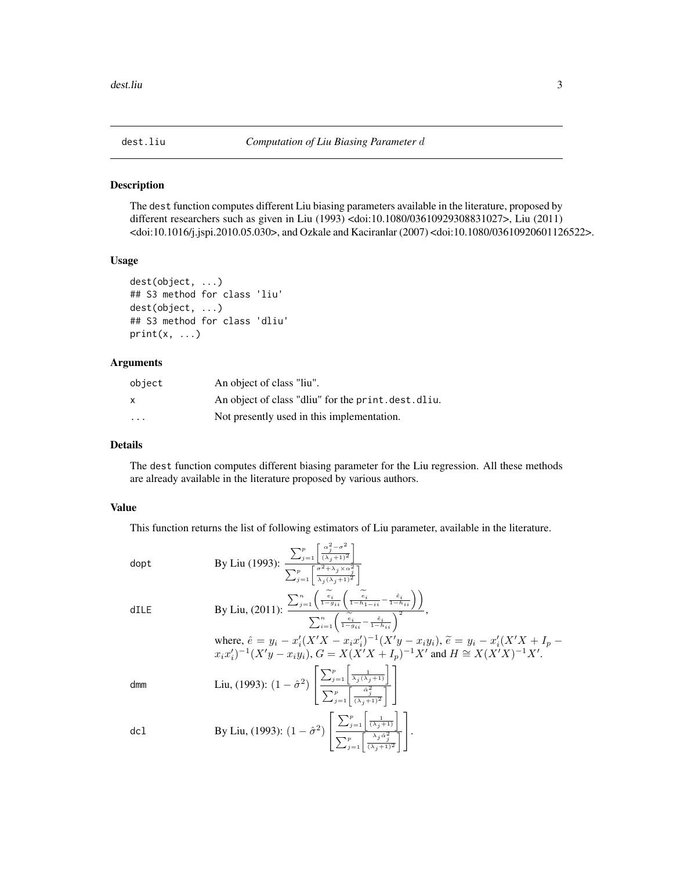<span id="page-2-0"></span>

The dest function computes different Liu biasing parameters available in the literature, proposed by different researchers such as given in Liu (1993) <doi:10.1080/03610929308831027>, Liu (2011) <doi:10.1016/j.jspi.2010.05.030>, and Ozkale and Kaciranlar (2007) <doi:10.1080/03610920601126522>.

## Usage

```
dest(object, ...)
## S3 method for class 'liu'
dest(object, ...)
## S3 method for class 'dliu'
print(x, \ldots)
```
# Arguments

| object                  | An object of class "liu".                            |
|-------------------------|------------------------------------------------------|
| x                       | An object of class "dliu" for the print. dest. dliu. |
| $\cdot$ $\cdot$ $\cdot$ | Not presently used in this implementation.           |

# Details

The dest function computes different biasing parameter for the Liu regression. All these methods are already available in the literature proposed by various authors.

## Value

This function returns the list of following estimators of Liu parameter, available in the literature.

dopt  
\nBy Liu (1993): 
$$
\frac{\sum_{j=1}^{p} \left[ \frac{\alpha_j^2 - \sigma^2}{(\lambda_j + 1)^2} \right]}{\sum_{j=1}^{p} \left[ \frac{\sigma^2 + \lambda_j \times \alpha_j^2}{\lambda_j (\lambda_j + 1)^2} \right]}
$$
\ndILE  
\nBy Liu, (2011): 
$$
\frac{\sum_{j=1}^{n} \left( \frac{\tilde{e}_i}{1 - g_{ii}} \left( \frac{\tilde{e}_i}{1 - h_{1 - ii}} - \frac{\tilde{e}_i}{1 - h_{ii}} \right) \right)}{\sum_{i=1}^{n} \left( \frac{\tilde{e}_i}{1 - g_{ii}} - \frac{\tilde{e}_i}{1 - h_{ii}} \right)^2},
$$
\nwhere,  $\hat{e} = y_i - x'_i (X'X - x_ix'_i)^{-1} (X'y - x_iy_i)$ ,  $\tilde{e} = y_i - x'_i (X'X + I_p - x_ix'_i)^{-1} (X'y - x_iy_i)$ ,  $\tilde{e} = y_i - x'_i (X'X + I_p - x_ix'_i)^{-1} (X'y - x_iy_i)$ ,  $\tilde{e} = y_i - x'_i (X'X + I_p - x_ix'_i)^{-1} (X'y - x_iy_i)$ ,  $G = X(X'X + I_p)^{-1} X'$  and  $H \cong X(X'X)^{-1} X'$ .  
\ndmm  
\nLim  
\nLiu, (1993):  $(1 - \hat{\sigma}^2) \left[ \frac{\sum_{j=1}^{p} \left[ \frac{1}{\lambda_j (\lambda_j + 1)} \right]}{\sum_{j=1}^{p} \left[ \frac{\lambda_j^2}{(\lambda_j + 1)^2} \right]} \right]$   
\ndcl  
\nBy Liu, (1993):  $(1 - \hat{\sigma}^2) \left[ \frac{\sum_{j=1}^{p} \left[ \frac{1}{(\lambda_j + 1)^2} \right]}{\sum_{j=1}^{p} \left[ \frac{\lambda_j^2}{(\lambda_j + 1)^2} \right]} \right]$ .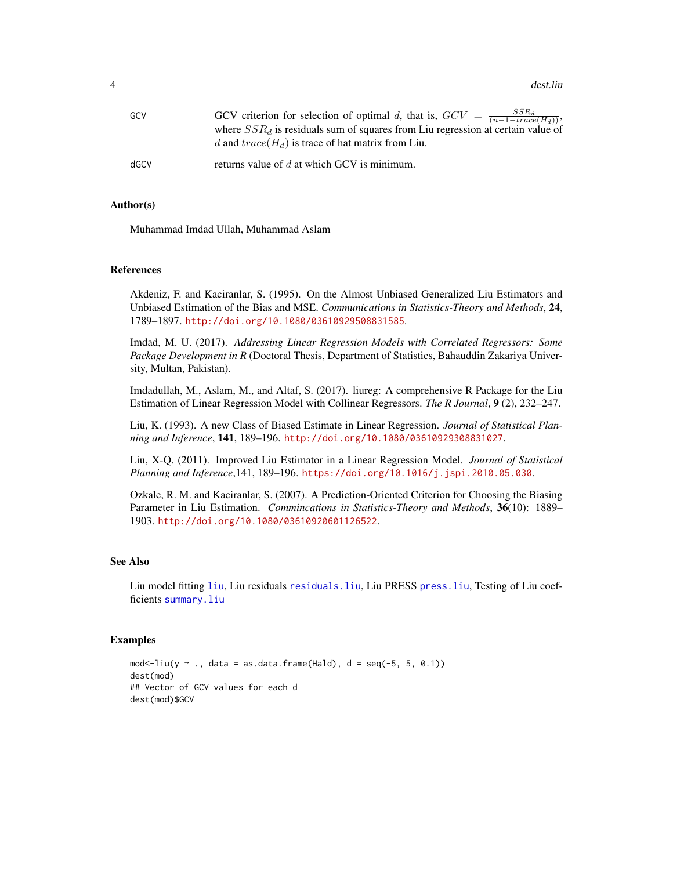<span id="page-3-0"></span>

| GCV  | GCV criterion for selection of optimal d, that is, $GCV = \frac{SSR_d}{(n-1-trace(H_d))}$ ,<br>where $SSR_d$ is residuals sum of squares from Liu regression at certain value of<br>d and $trace(H_d)$ is trace of hat matrix from Liu. |
|------|-----------------------------------------------------------------------------------------------------------------------------------------------------------------------------------------------------------------------------------------|
| dGCV | returns value of $d$ at which GCV is minimum.                                                                                                                                                                                           |

#### Author(s)

Muhammad Imdad Ullah, Muhammad Aslam

#### References

Akdeniz, F. and Kaciranlar, S. (1995). On the Almost Unbiased Generalized Liu Estimators and Unbiased Estimation of the Bias and MSE. *Communications in Statistics-Theory and Methods*, 24, 1789–1897. <http://doi.org/10.1080/03610929508831585>.

Imdad, M. U. (2017). *Addressing Linear Regression Models with Correlated Regressors: Some Package Development in R* (Doctoral Thesis, Department of Statistics, Bahauddin Zakariya University, Multan, Pakistan).

Imdadullah, M., Aslam, M., and Altaf, S. (2017). liureg: A comprehensive R Package for the Liu Estimation of Linear Regression Model with Collinear Regressors. *The R Journal*, 9 (2), 232–247.

Liu, K. (1993). A new Class of Biased Estimate in Linear Regression. *Journal of Statistical Planning and Inference*, 141, 189–196. <http://doi.org/10.1080/03610929308831027>.

Liu, X-Q. (2011). Improved Liu Estimator in a Linear Regression Model. *Journal of Statistical Planning and Inference*,141, 189–196. <https://doi.org/10.1016/j.jspi.2010.05.030>.

Ozkale, R. M. and Kaciranlar, S. (2007). A Prediction-Oriented Criterion for Choosing the Biasing Parameter in Liu Estimation. *Commincations in Statistics-Theory and Methods*, 36(10): 1889– 1903. <http://doi.org/10.1080/03610920601126522>.

## See Also

Liu model fitting [liu](#page-7-1), Liu residuals [residuals.liu](#page-18-1), Liu PRESS [press.liu](#page-17-1), Testing of Liu coefficients [summary.liu](#page-20-1)

## Examples

```
mod < -liu(y \sim ., data = as.data frame(Hald), d = seq(-5, 5, 0.1))dest(mod)
## Vector of GCV values for each d
dest(mod)$GCV
```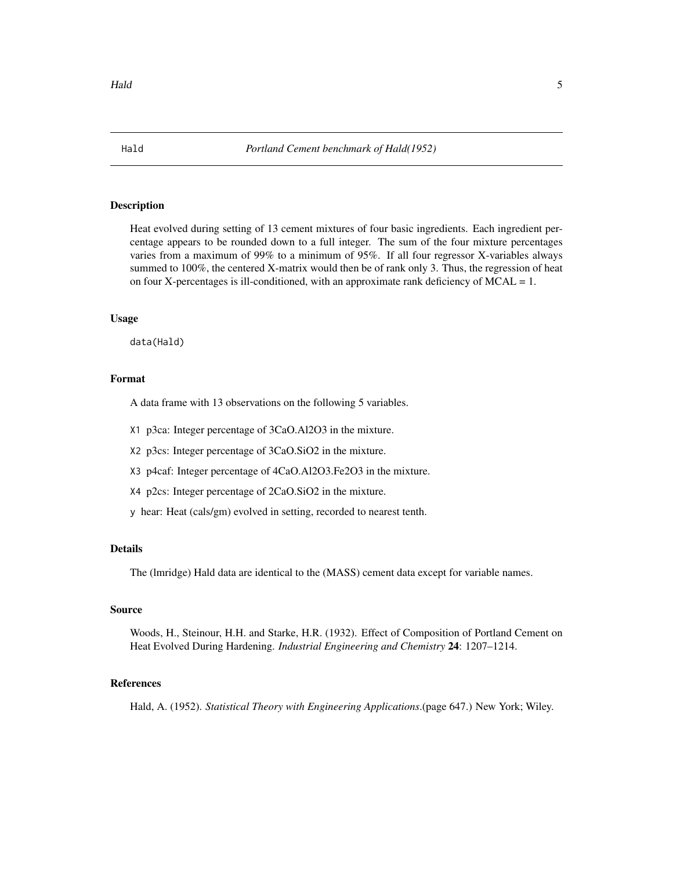<span id="page-4-0"></span>

Heat evolved during setting of 13 cement mixtures of four basic ingredients. Each ingredient percentage appears to be rounded down to a full integer. The sum of the four mixture percentages varies from a maximum of 99% to a minimum of 95%. If all four regressor X-variables always summed to 100%, the centered X-matrix would then be of rank only 3. Thus, the regression of heat on four X-percentages is ill-conditioned, with an approximate rank deficiency of  $MCAL = 1$ .

## Usage

data(Hald)

# Format

A data frame with 13 observations on the following 5 variables.

- X1 p3ca: Integer percentage of 3CaO.Al2O3 in the mixture.
- X2 p3cs: Integer percentage of 3CaO.SiO2 in the mixture.
- X3 p4caf: Integer percentage of 4CaO.Al2O3.Fe2O3 in the mixture.
- X4 p2cs: Integer percentage of 2CaO.SiO2 in the mixture.
- y hear: Heat (cals/gm) evolved in setting, recorded to nearest tenth.

## Details

The (lmridge) Hald data are identical to the (MASS) cement data except for variable names.

## Source

Woods, H., Steinour, H.H. and Starke, H.R. (1932). Effect of Composition of Portland Cement on Heat Evolved During Hardening. *Industrial Engineering and Chemistry* 24: 1207–1214.

## References

Hald, A. (1952). *Statistical Theory with Engineering Applications*.(page 647.) New York; Wiley.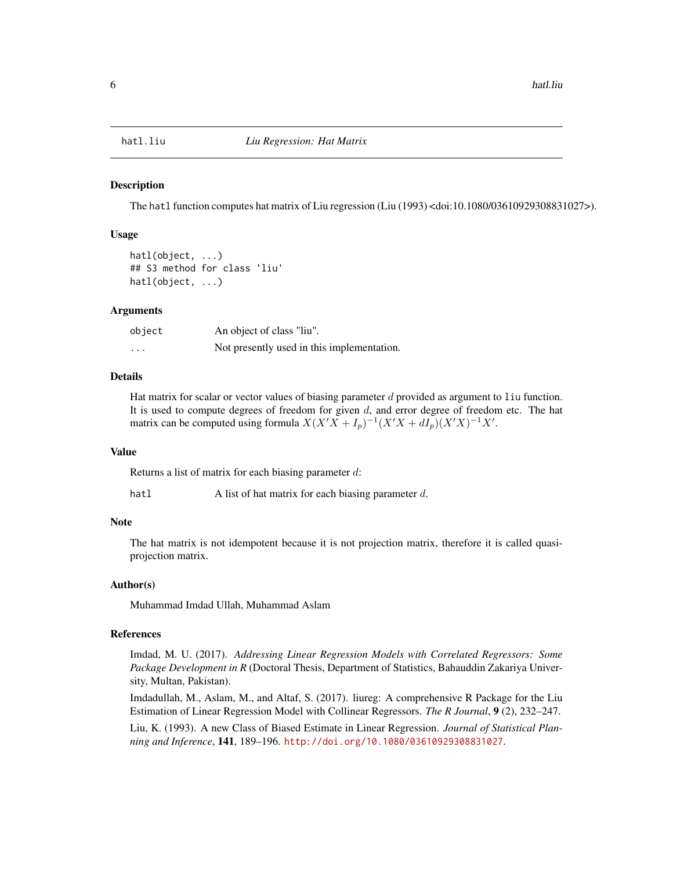<span id="page-5-0"></span>

The hatl function computes hat matrix of Liu regression (Liu (1993) <doi:10.1080/03610929308831027>).

#### Usage

```
hatl(object, ...)
## S3 method for class 'liu'
hatl(object, ...)
```
#### Arguments

| object                  | An object of class "liu".                  |
|-------------------------|--------------------------------------------|
| $\cdot$ $\cdot$ $\cdot$ | Not presently used in this implementation. |

## Details

Hat matrix for scalar or vector values of biasing parameter  $d$  provided as argument to  $1$  iu function. It is used to compute degrees of freedom for given  $d$ , and error degree of freedom etc. The hat matrix can be computed using formula  $X(X'X + I_p)^{-1}(X'X + dI_p)(X'X)^{-1}X'$ .

#### Value

Returns a list of matrix for each biasing parameter d:

hatl A list of hat matrix for each biasing parameter d.

#### Note

The hat matrix is not idempotent because it is not projection matrix, therefore it is called quasiprojection matrix.

## Author(s)

Muhammad Imdad Ullah, Muhammad Aslam

# References

Imdad, M. U. (2017). *Addressing Linear Regression Models with Correlated Regressors: Some Package Development in R* (Doctoral Thesis, Department of Statistics, Bahauddin Zakariya University, Multan, Pakistan).

Imdadullah, M., Aslam, M., and Altaf, S. (2017). liureg: A comprehensive R Package for the Liu Estimation of Linear Regression Model with Collinear Regressors. *The R Journal*, 9 (2), 232–247.

Liu, K. (1993). A new Class of Biased Estimate in Linear Regression. *Journal of Statistical Planning and Inference*, 141, 189–196. <http://doi.org/10.1080/03610929308831027>.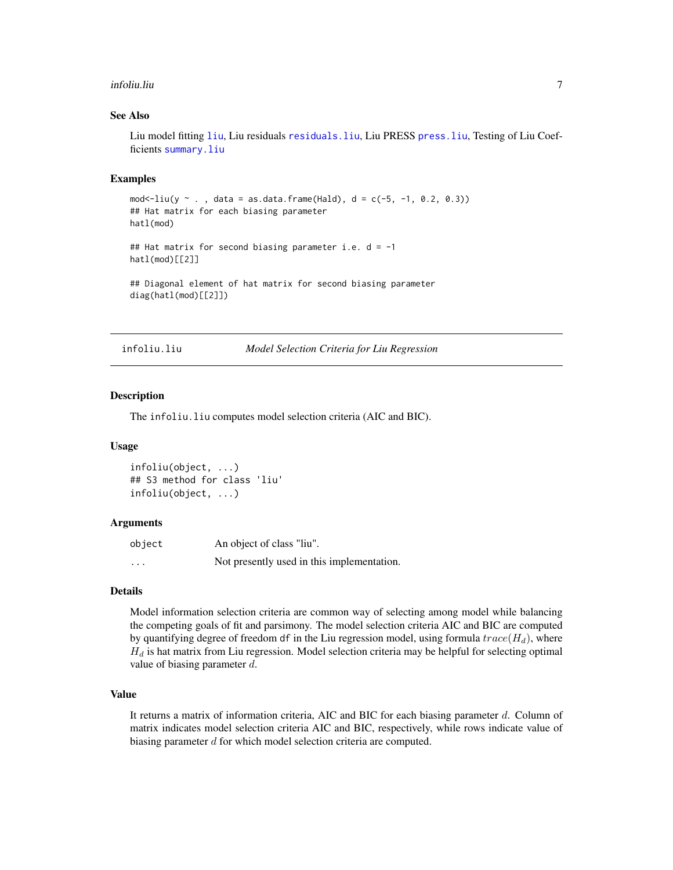#### <span id="page-6-0"></span>infoliu.liu 7

## See Also

Liu model fitting [liu](#page-7-1), Liu residuals [residuals.liu](#page-18-1), Liu PRESS [press.liu](#page-17-1), Testing of Liu Coefficients [summary.liu](#page-20-1)

#### Examples

```
mod < -1iu(y \sim . , data = as.data frame(Hald), d = c(-5, -1, 0.2, 0.3))## Hat matrix for each biasing parameter
hatl(mod)
## Hat matrix for second biasing parameter i.e. d = -1
hatl(mod)[[2]]
## Diagonal element of hat matrix for second biasing parameter
diag(hatl(mod)[[2]])
```
infoliu.liu *Model Selection Criteria for Liu Regression*

#### Description

The infoliu.liu computes model selection criteria (AIC and BIC).

#### Usage

```
infoliu(object, ...)
## S3 method for class 'liu'
infoliu(object, ...)
```
## Arguments

| object   | An object of class "liu".                  |
|----------|--------------------------------------------|
| $\cdots$ | Not presently used in this implementation. |

#### Details

Model information selection criteria are common way of selecting among model while balancing the competing goals of fit and parsimony. The model selection criteria AIC and BIC are computed by quantifying degree of freedom df in the Liu regression model, using formula  $trace(H_d)$ , where  $H_d$  is hat matrix from Liu regression. Model selection criteria may be helpful for selecting optimal value of biasing parameter  $d$ .

# Value

It returns a matrix of information criteria, AIC and BIC for each biasing parameter  $d$ . Column of matrix indicates model selection criteria AIC and BIC, respectively, while rows indicate value of biasing parameter d for which model selection criteria are computed.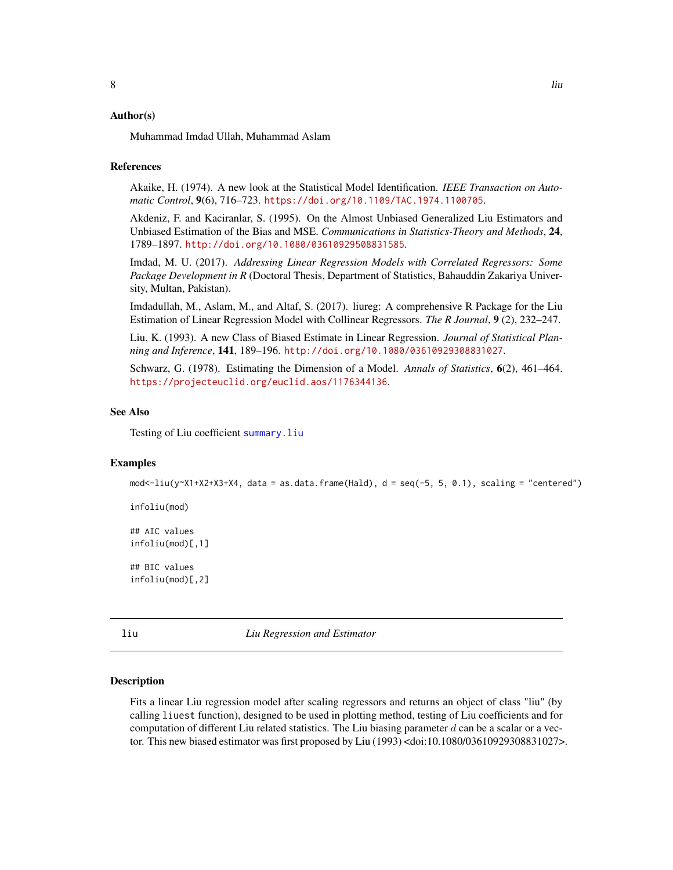#### <span id="page-7-0"></span>Author(s)

Muhammad Imdad Ullah, Muhammad Aslam

#### **References**

Akaike, H. (1974). A new look at the Statistical Model Identification. *IEEE Transaction on Automatic Control*, 9(6), 716–723. <https://doi.org/10.1109/TAC.1974.1100705>.

Akdeniz, F. and Kaciranlar, S. (1995). On the Almost Unbiased Generalized Liu Estimators and Unbiased Estimation of the Bias and MSE. *Communications in Statistics-Theory and Methods*, 24, 1789–1897. <http://doi.org/10.1080/03610929508831585>.

Imdad, M. U. (2017). *Addressing Linear Regression Models with Correlated Regressors: Some Package Development in R* (Doctoral Thesis, Department of Statistics, Bahauddin Zakariya University, Multan, Pakistan).

Imdadullah, M., Aslam, M., and Altaf, S. (2017). liureg: A comprehensive R Package for the Liu Estimation of Linear Regression Model with Collinear Regressors. *The R Journal*, 9 (2), 232–247.

Liu, K. (1993). A new Class of Biased Estimate in Linear Regression. *Journal of Statistical Planning and Inference*, 141, 189–196. <http://doi.org/10.1080/03610929308831027>.

Schwarz, G. (1978). Estimating the Dimension of a Model. *Annals of Statistics*, 6(2), 461–464. <https://projecteuclid.org/euclid.aos/1176344136>.

#### See Also

Testing of Liu coefficient [summary.liu](#page-20-1)

#### Examples

mod<-liu(y~X1+X2+X3+X4, data = as.data.frame(Hald), d = seq(-5, 5, 0.1), scaling = "centered")

infoliu(mod)

## AIC values infoliu(mod)[,1]

## BIC values infoliu(mod)[,2]

<span id="page-7-1"></span>liu *Liu Regression and Estimator*

## **Description**

Fits a linear Liu regression model after scaling regressors and returns an object of class "liu" (by calling liuest function), designed to be used in plotting method, testing of Liu coefficients and for computation of different Liu related statistics. The Liu biasing parameter  $d$  can be a scalar or a vector. This new biased estimator was first proposed by Liu (1993) <doi:10.1080/03610929308831027>.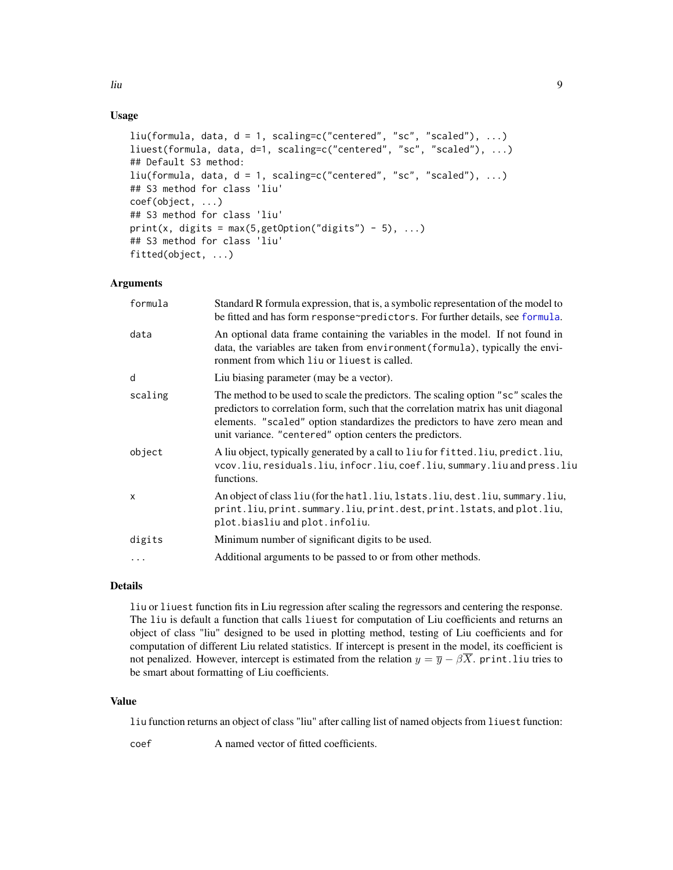# <span id="page-8-0"></span>Usage

```
liu(formula, data, d = 1, scaling=c("centered", "sc", "scaled"), ...)
liuest(formula, data, d=1, scaling=c("centered", "sc", "scaled"), ...)
## Default S3 method:
liu(formula, data, d = 1, scaling=c("centered", "sc", "scaled"), ...)
## S3 method for class 'liu'
coef(object, ...)
## S3 method for class 'liu'
print(x, digits = max(5, getOption("digits") - 5), ...)## S3 method for class 'liu'
fitted(object, ...)
```
# Arguments

| formula   | Standard R formula expression, that is, a symbolic representation of the model to<br>be fitted and has form response~predictors. For further details, see formula.                                                                                                                                                 |
|-----------|--------------------------------------------------------------------------------------------------------------------------------------------------------------------------------------------------------------------------------------------------------------------------------------------------------------------|
| data      | An optional data frame containing the variables in the model. If not found in<br>data, the variables are taken from environment (formula), typically the envi-<br>ronment from which liu or liuest is called.                                                                                                      |
| d         | Liu biasing parameter (may be a vector).                                                                                                                                                                                                                                                                           |
| scaling   | The method to be used to scale the predictors. The scaling option "sc" scales the<br>predictors to correlation form, such that the correlation matrix has unit diagonal<br>elements. "scaled" option standardizes the predictors to have zero mean and<br>unit variance. "centered" option centers the predictors. |
| object    | A liu object, typically generated by a call to liu for fitted. liu, predict. liu,<br>vcov.liu, residuals.liu, infocr.liu, coef.liu, summary.liu and press.liu<br>functions.                                                                                                                                        |
| X         | An object of class liu (for the hatl.liu, 1stats.liu, dest.liu, summary.liu,<br>print.liu, print.summary.liu, print.dest, print.lstats, and plot.liu,<br>plot.biasliu and plot.infoliu.                                                                                                                            |
| digits    | Minimum number of significant digits to be used.                                                                                                                                                                                                                                                                   |
| $\ddotsc$ | Additional arguments to be passed to or from other methods.                                                                                                                                                                                                                                                        |
|           |                                                                                                                                                                                                                                                                                                                    |

# Details

liu or liuest function fits in Liu regression after scaling the regressors and centering the response. The liu is default a function that calls liuest for computation of Liu coefficients and returns an object of class "liu" designed to be used in plotting method, testing of Liu coefficients and for computation of different Liu related statistics. If intercept is present in the model, its coefficient is not penalized. However, intercept is estimated from the relation  $y = \overline{y} - \beta \overline{X}$ . print. liu tries to be smart about formatting of Liu coefficients.

#### Value

liu function returns an object of class "liu" after calling list of named objects from liuest function:

coef A named vector of fitted coefficients.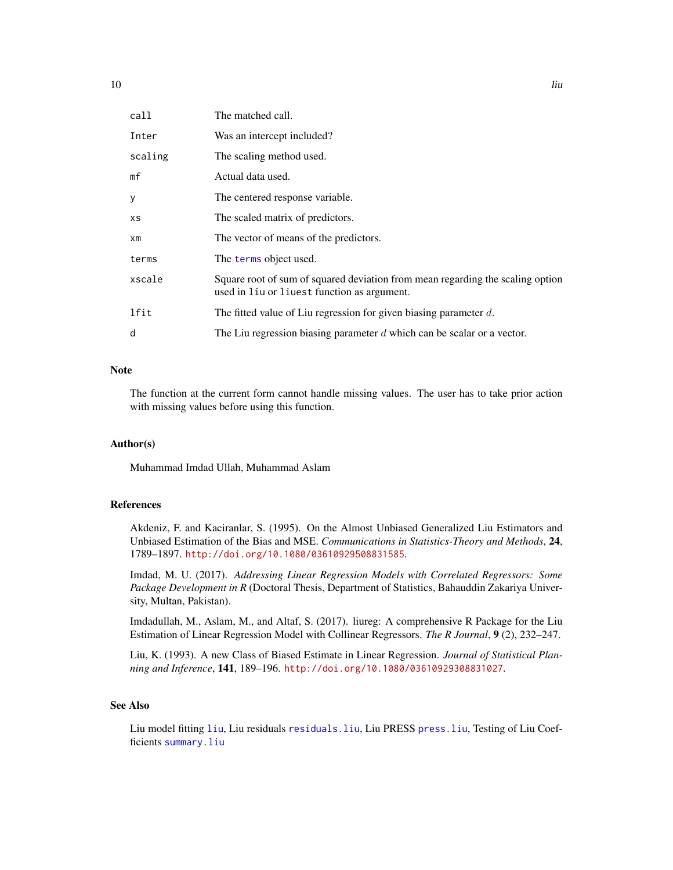<span id="page-9-0"></span>

| call           | The matched call.                                                                                                             |
|----------------|-------------------------------------------------------------------------------------------------------------------------------|
| Inter          | Was an intercept included?                                                                                                    |
| scaling        | The scaling method used.                                                                                                      |
| mf             | Actual data used.                                                                                                             |
| У              | The centered response variable.                                                                                               |
| <b>XS</b>      | The scaled matrix of predictors.                                                                                              |
| x <sub>m</sub> | The vector of means of the predictors.                                                                                        |
| terms          | The terms object used.                                                                                                        |
| xscale         | Square root of sum of squared deviation from mean regarding the scaling option<br>used in liu or liuest function as argument. |
| lfit           | The fitted value of Liu regression for given biasing parameter $d$ .                                                          |
| d              | The Liu regression biasing parameter $d$ which can be scalar or a vector.                                                     |
|                |                                                                                                                               |

# Note

The function at the current form cannot handle missing values. The user has to take prior action with missing values before using this function.

## Author(s)

Muhammad Imdad Ullah, Muhammad Aslam

## References

Akdeniz, F. and Kaciranlar, S. (1995). On the Almost Unbiased Generalized Liu Estimators and Unbiased Estimation of the Bias and MSE. *Communications in Statistics-Theory and Methods*, 24, 1789–1897. <http://doi.org/10.1080/03610929508831585>.

Imdad, M. U. (2017). *Addressing Linear Regression Models with Correlated Regressors: Some Package Development in R* (Doctoral Thesis, Department of Statistics, Bahauddin Zakariya University, Multan, Pakistan).

Imdadullah, M., Aslam, M., and Altaf, S. (2017). liureg: A comprehensive R Package for the Liu Estimation of Linear Regression Model with Collinear Regressors. *The R Journal*, 9 (2), 232–247.

Liu, K. (1993). A new Class of Biased Estimate in Linear Regression. *Journal of Statistical Planning and Inference*, 141, 189–196. <http://doi.org/10.1080/03610929308831027>.

# See Also

Liu model fitting [liu](#page-7-1), Liu residuals [residuals.liu](#page-18-1), Liu PRESS [press.liu](#page-17-1), Testing of Liu Coefficients [summary.liu](#page-20-1)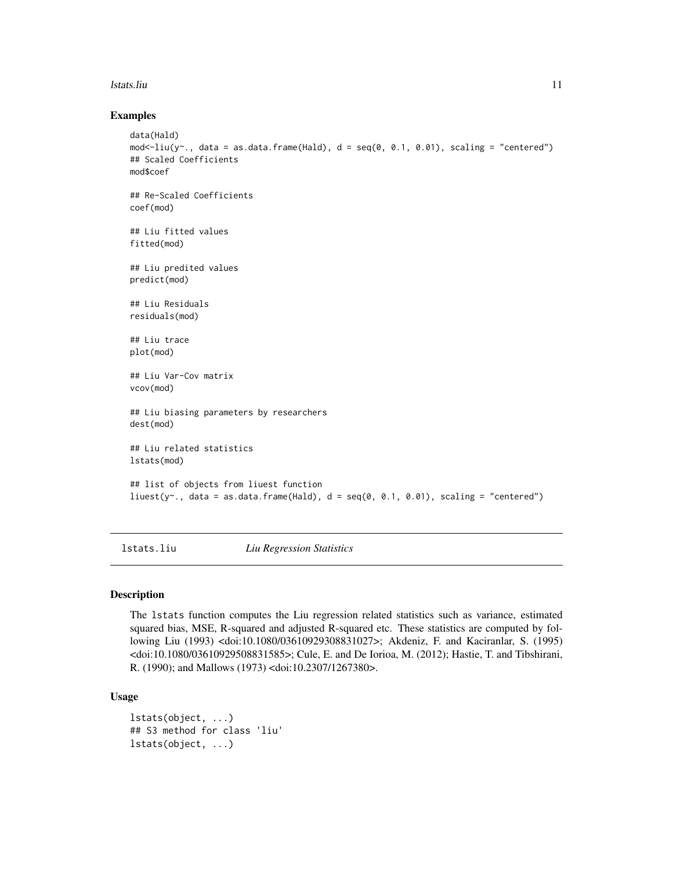#### <span id="page-10-0"></span>lstats.liu 11

## Examples

```
data(Hald)
mod<-liu(y~., data = as.data.frame(Hald), d = seq(0, 0.1, 0.01), scaling = "centered")
## Scaled Coefficients
mod$coef
## Re-Scaled Coefficients
coef(mod)
## Liu fitted values
fitted(mod)
## Liu predited values
predict(mod)
## Liu Residuals
residuals(mod)
## Liu trace
plot(mod)
## Liu Var-Cov matrix
vcov(mod)
## Liu biasing parameters by researchers
dest(mod)
## Liu related statistics
lstats(mod)
## list of objects from liuest function
liuest(y^2., data = as.data.frame(Hald), d = \text{seq}(0, 0.1, 0.01), scaling = "centered")
```
lstats.liu *Liu Regression Statistics*

#### Description

The lstats function computes the Liu regression related statistics such as variance, estimated squared bias, MSE, R-squared and adjusted R-squared etc. These statistics are computed by following Liu (1993) <doi:10.1080/03610929308831027>; Akdeniz, F. and Kaciranlar, S. (1995) <doi:10.1080/03610929508831585>; Cule, E. and De Iorioa, M. (2012); Hastie, T. and Tibshirani, R. (1990); and Mallows (1973) <doi:10.2307/1267380>.

## Usage

```
lstats(object, ...)
## S3 method for class 'liu'
lstats(object, ...)
```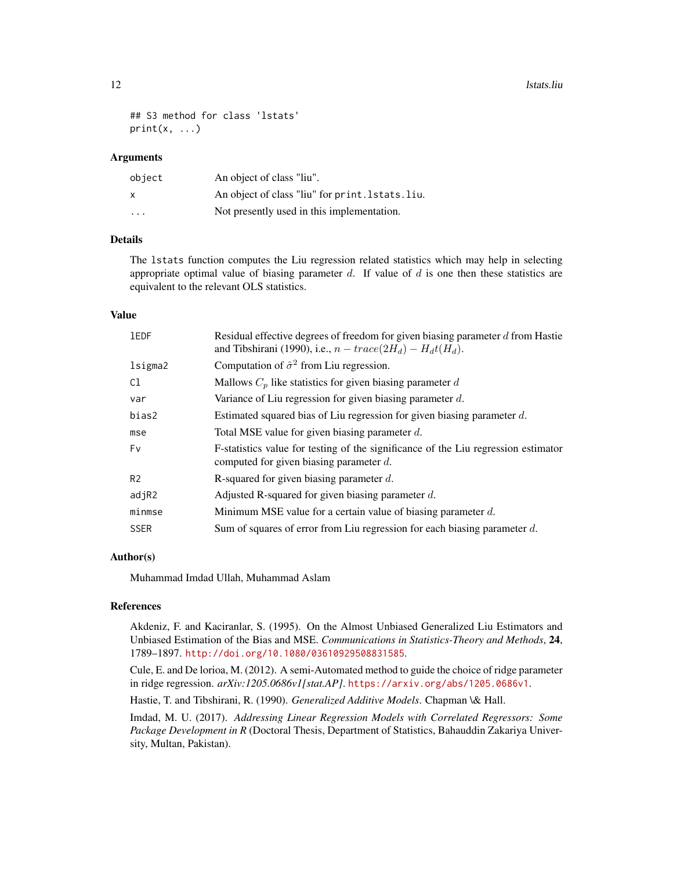12 lstats.liu

```
## S3 method for class 'lstats'
print(x, \ldots)
```
# Arguments

| object       | An object of class "liu".                         |
|--------------|---------------------------------------------------|
| $\mathsf{x}$ | An object of class "liu" for print. 1 stats. liu. |
| .            | Not presently used in this implementation.        |

# Details

The lstats function computes the Liu regression related statistics which may help in selecting appropriate optimal value of biasing parameter  $d$ . If value of  $d$  is one then these statistics are equivalent to the relevant OLS statistics.

## Value

| <b>IEDF</b>    | Residual effective degrees of freedom for given biasing parameter d from Hastie<br>and Tibshirani (1990), i.e., $n - trace(2H_d) - H_d t(H_d)$ . |
|----------------|--------------------------------------------------------------------------------------------------------------------------------------------------|
| lsigma2        | Computation of $\hat{\sigma}^2$ from Liu regression.                                                                                             |
| C1             | Mallows $C_p$ like statistics for given biasing parameter d                                                                                      |
| var            | Variance of Liu regression for given biasing parameter $d$ .                                                                                     |
| bias2          | Estimated squared bias of Liu regression for given biasing parameter d.                                                                          |
| mse            | Total MSE value for given biasing parameter $d$ .                                                                                                |
| Fv             | F-statistics value for testing of the significance of the Liu regression estimator<br>computed for given biasing parameter $d$ .                 |
| R <sub>2</sub> | R-squared for given biasing parameter $d$ .                                                                                                      |
| adjR2          | Adjusted R-squared for given biasing parameter $d$ .                                                                                             |
| minmse         | Minimum MSE value for a certain value of biasing parameter $d$ .                                                                                 |
| <b>SSER</b>    | Sum of squares of error from Liu regression for each biasing parameter $d$ .                                                                     |

## Author(s)

Muhammad Imdad Ullah, Muhammad Aslam

## References

Akdeniz, F. and Kaciranlar, S. (1995). On the Almost Unbiased Generalized Liu Estimators and Unbiased Estimation of the Bias and MSE. *Communications in Statistics-Theory and Methods*, 24, 1789–1897. <http://doi.org/10.1080/03610929508831585>.

Cule, E. and De lorioa, M. (2012). A semi-Automated method to guide the choice of ridge parameter in ridge regression. *arXiv:1205.0686v1[stat.AP]*. <https://arxiv.org/abs/1205.0686v1>.

Hastie, T. and Tibshirani, R. (1990). *Generalized Additive Models*. Chapman \& Hall.

Imdad, M. U. (2017). *Addressing Linear Regression Models with Correlated Regressors: Some Package Development in R* (Doctoral Thesis, Department of Statistics, Bahauddin Zakariya University, Multan, Pakistan).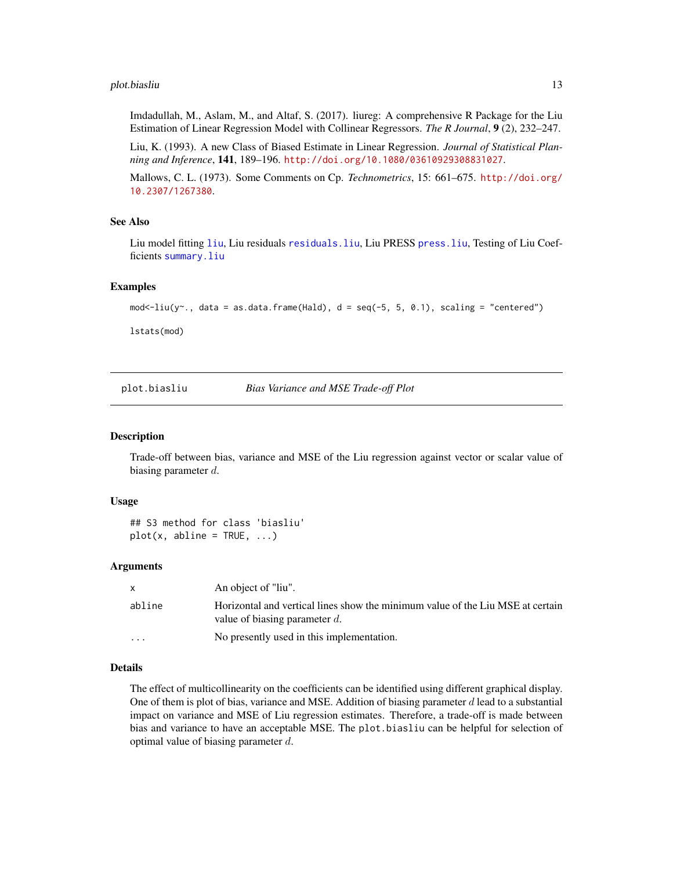## <span id="page-12-0"></span>plot.biasliu 13

Imdadullah, M., Aslam, M., and Altaf, S. (2017). liureg: A comprehensive R Package for the Liu Estimation of Linear Regression Model with Collinear Regressors. *The R Journal*, 9 (2), 232–247.

Liu, K. (1993). A new Class of Biased Estimate in Linear Regression. *Journal of Statistical Planning and Inference*, 141, 189–196. <http://doi.org/10.1080/03610929308831027>.

Mallows, C. L. (1973). Some Comments on Cp. *Technometrics*, 15: 661–675. [http://doi.org/](http://doi.org/10.2307/1267380) [10.2307/1267380](http://doi.org/10.2307/1267380).

#### See Also

Liu model fitting [liu](#page-7-1), Liu residuals [residuals.liu](#page-18-1), Liu PRESS [press.liu](#page-17-1), Testing of Liu Coefficients [summary.liu](#page-20-1)

## Examples

```
mod -liu(y \cdot, data = as.data.frame(Hald), d = seq(-5, 5, 0.1), scaling = "centered")
```
lstats(mod)

<span id="page-12-1"></span>plot.biasliu *Bias Variance and MSE Trade-off Plot*

#### Description

Trade-off between bias, variance and MSE of the Liu regression against vector or scalar value of biasing parameter d.

#### Usage

```
## S3 method for class 'biasliu'
plot(x, abline = TRUE, ...)
```
## Arguments

|                      | An object of "liu".                                                                                                |
|----------------------|--------------------------------------------------------------------------------------------------------------------|
| abline               | Horizontal and vertical lines show the minimum value of the Liu MSE at certain<br>value of biasing parameter $d$ . |
| $\ddot{\phantom{0}}$ | No presently used in this implementation.                                                                          |

## Details

The effect of multicollinearity on the coefficients can be identified using different graphical display. One of them is plot of bias, variance and MSE. Addition of biasing parameter  $d$  lead to a substantial impact on variance and MSE of Liu regression estimates. Therefore, a trade-off is made between bias and variance to have an acceptable MSE. The plot.biasliu can be helpful for selection of optimal value of biasing parameter  $d$ .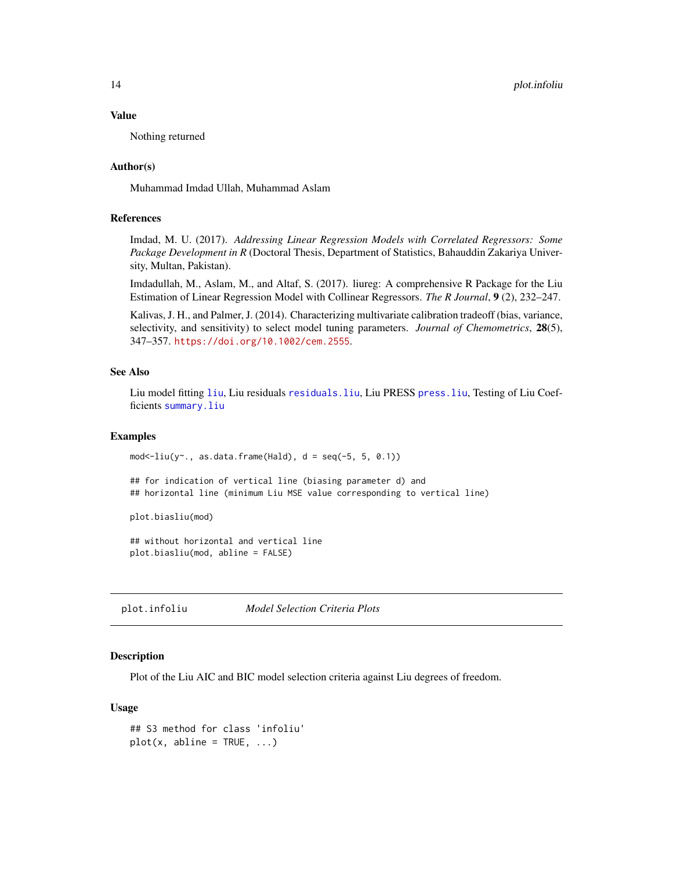#### Value

Nothing returned

## Author(s)

Muhammad Imdad Ullah, Muhammad Aslam

# References

Imdad, M. U. (2017). *Addressing Linear Regression Models with Correlated Regressors: Some Package Development in R* (Doctoral Thesis, Department of Statistics, Bahauddin Zakariya University, Multan, Pakistan).

Imdadullah, M., Aslam, M., and Altaf, S. (2017). liureg: A comprehensive R Package for the Liu Estimation of Linear Regression Model with Collinear Regressors. *The R Journal*, 9 (2), 232–247.

Kalivas, J. H., and Palmer, J. (2014). Characterizing multivariate calibration tradeoff (bias, variance, selectivity, and sensitivity) to select model tuning parameters. *Journal of Chemometrics*, 28(5), 347–357. <https://doi.org/10.1002/cem.2555>.

## See Also

Liu model fitting [liu](#page-7-1), Liu residuals [residuals.liu](#page-18-1), Liu PRESS [press.liu](#page-17-1), Testing of Liu Coefficients [summary.liu](#page-20-1)

## Examples

 $mod < -liu(y - 0, s)$ , as.data.frame(Hald),  $d = seq(-5, 5, 0.1)$ 

## for indication of vertical line (biasing parameter d) and ## horizontal line (minimum Liu MSE value corresponding to vertical line)

plot.biasliu(mod)

## without horizontal and vertical line plot.biasliu(mod, abline = FALSE)

plot.infoliu *Model Selection Criteria Plots*

## **Description**

Plot of the Liu AIC and BIC model selection criteria against Liu degrees of freedom.

## Usage

```
## S3 method for class 'infoliu'
plot(x, abline = TRUE, ...)
```
<span id="page-13-0"></span>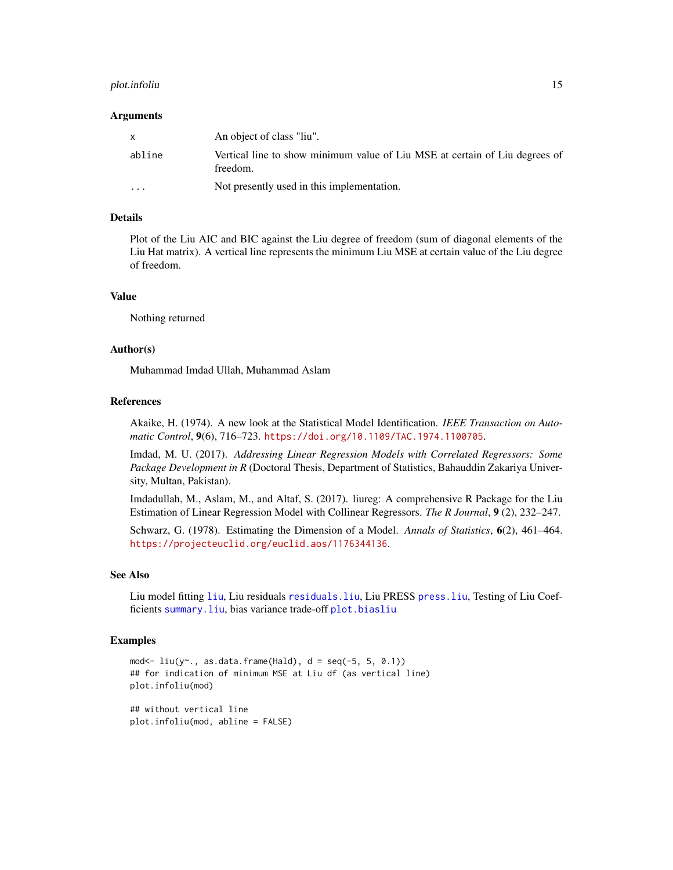# <span id="page-14-0"></span>plot.infoliu 15

#### Arguments

| $\mathsf{x}$ | An object of class "liu".                                                               |
|--------------|-----------------------------------------------------------------------------------------|
| abline       | Vertical line to show minimum value of Liu MSE at certain of Liu degrees of<br>freedom. |
| $\cdot$      | Not presently used in this implementation.                                              |

# Details

Plot of the Liu AIC and BIC against the Liu degree of freedom (sum of diagonal elements of the Liu Hat matrix). A vertical line represents the minimum Liu MSE at certain value of the Liu degree of freedom.

## Value

Nothing returned

## Author(s)

Muhammad Imdad Ullah, Muhammad Aslam

## References

Akaike, H. (1974). A new look at the Statistical Model Identification. *IEEE Transaction on Automatic Control*, 9(6), 716–723. <https://doi.org/10.1109/TAC.1974.1100705>.

Imdad, M. U. (2017). *Addressing Linear Regression Models with Correlated Regressors: Some Package Development in R* (Doctoral Thesis, Department of Statistics, Bahauddin Zakariya University, Multan, Pakistan).

Imdadullah, M., Aslam, M., and Altaf, S. (2017). liureg: A comprehensive R Package for the Liu Estimation of Linear Regression Model with Collinear Regressors. *The R Journal*, 9 (2), 232–247.

Schwarz, G. (1978). Estimating the Dimension of a Model. *Annals of Statistics*, 6(2), 461–464. <https://projecteuclid.org/euclid.aos/1176344136>.

# See Also

Liu model fitting [liu](#page-7-1), Liu residuals [residuals.liu](#page-18-1), Liu PRESS [press.liu](#page-17-1), Testing of Liu Coefficients [summary.liu](#page-20-1), bias variance trade-off [plot.biasliu](#page-12-1)

## Examples

```
mod \le liu(y \sim ., as.data frame(Hald), d = seq(-5, 5, 0.1))## for indication of minimum MSE at Liu df (as vertical line)
plot.infoliu(mod)
```
## without vertical line plot.infoliu(mod, abline = FALSE)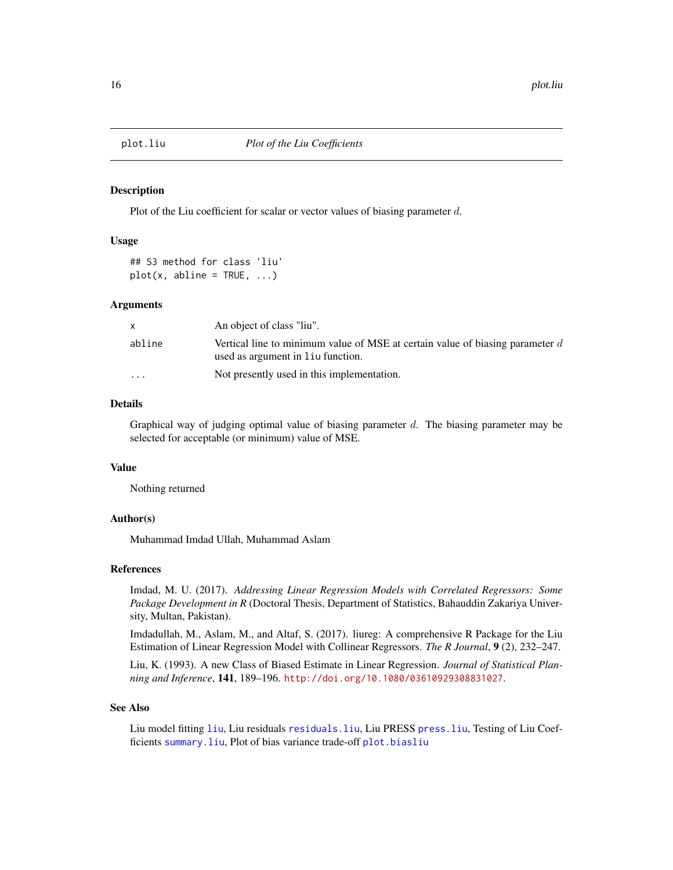<span id="page-15-0"></span>

Plot of the Liu coefficient for scalar or vector values of biasing parameter d.

# Usage

## S3 method for class 'liu'  $plot(x, abline = TRUE, ...)$ 

### Arguments

|                         | An object of class "liu".                                                                                            |
|-------------------------|----------------------------------------------------------------------------------------------------------------------|
| abline                  | Vertical line to minimum value of MSE at certain value of biasing parameter $d$<br>used as argument in liu function. |
| $\cdot$ $\cdot$ $\cdot$ | Not presently used in this implementation.                                                                           |

# Details

Graphical way of judging optimal value of biasing parameter  $d$ . The biasing parameter may be selected for acceptable (or minimum) value of MSE.

## Value

Nothing returned

## Author(s)

Muhammad Imdad Ullah, Muhammad Aslam

# References

Imdad, M. U. (2017). *Addressing Linear Regression Models with Correlated Regressors: Some Package Development in R* (Doctoral Thesis, Department of Statistics, Bahauddin Zakariya University, Multan, Pakistan).

Imdadullah, M., Aslam, M., and Altaf, S. (2017). liureg: A comprehensive R Package for the Liu Estimation of Linear Regression Model with Collinear Regressors. *The R Journal*, 9 (2), 232–247.

Liu, K. (1993). A new Class of Biased Estimate in Linear Regression. *Journal of Statistical Planning and Inference*, 141, 189–196. <http://doi.org/10.1080/03610929308831027>.

# See Also

Liu model fitting [liu](#page-7-1), Liu residuals [residuals.liu](#page-18-1), Liu PRESS [press.liu](#page-17-1), Testing of Liu Coefficients [summary.liu](#page-20-1), Plot of bias variance trade-off [plot.biasliu](#page-12-1)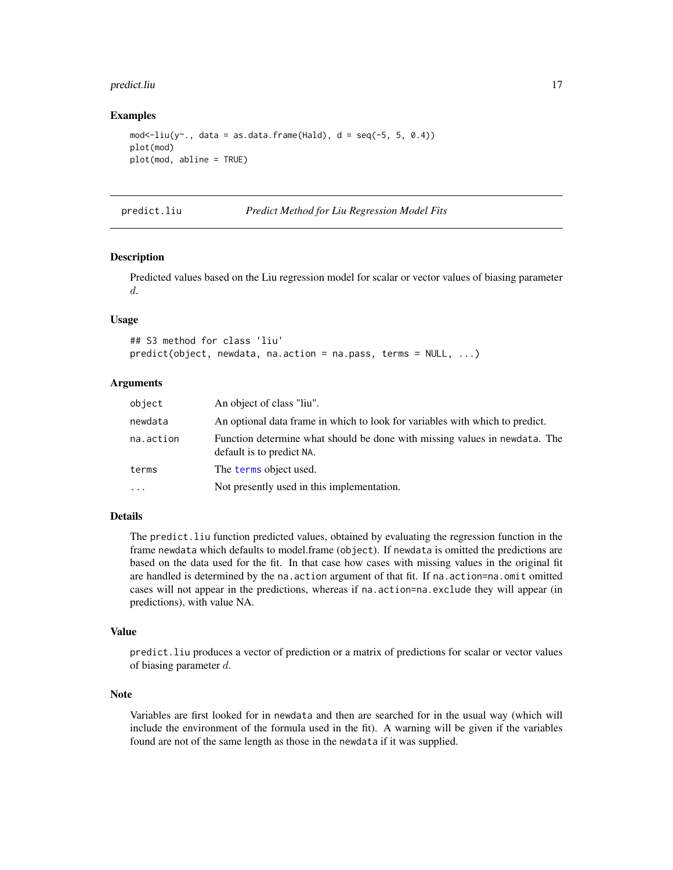#### <span id="page-16-0"></span>predict.liu 17

## Examples

```
mod \le-liu(y\sim., data = as.data.frame(Hald), d = seq(-5, 5, 0.4))
plot(mod)
plot(mod, abline = TRUE)
```
## predict.liu *Predict Method for Liu Regression Model Fits*

## <span id="page-16-1"></span>Description

Predicted values based on the Liu regression model for scalar or vector values of biasing parameter d.

# Usage

```
## S3 method for class 'liu'
predict(object, newdata, na.action = na.pass, terms = NULL, ...)
```
## Arguments

| object    | An object of class "liu".                                                                               |
|-----------|---------------------------------------------------------------------------------------------------------|
| newdata   | An optional data frame in which to look for variables with which to predict.                            |
| na.action | Function determine what should be done with missing values in newdata. The<br>default is to predict NA. |
| terms     | The terms object used.                                                                                  |
| $\ddots$  | Not presently used in this implementation.                                                              |

## Details

The predict.liu function predicted values, obtained by evaluating the regression function in the frame newdata which defaults to model.frame (object). If newdata is omitted the predictions are based on the data used for the fit. In that case how cases with missing values in the original fit are handled is determined by the na.action argument of that fit. If na.action=na.omit omitted cases will not appear in the predictions, whereas if na.action=na.exclude they will appear (in predictions), with value NA.

#### Value

predict.liu produces a vector of prediction or a matrix of predictions for scalar or vector values of biasing parameter d.

## Note

Variables are first looked for in newdata and then are searched for in the usual way (which will include the environment of the formula used in the fit). A warning will be given if the variables found are not of the same length as those in the newdata if it was supplied.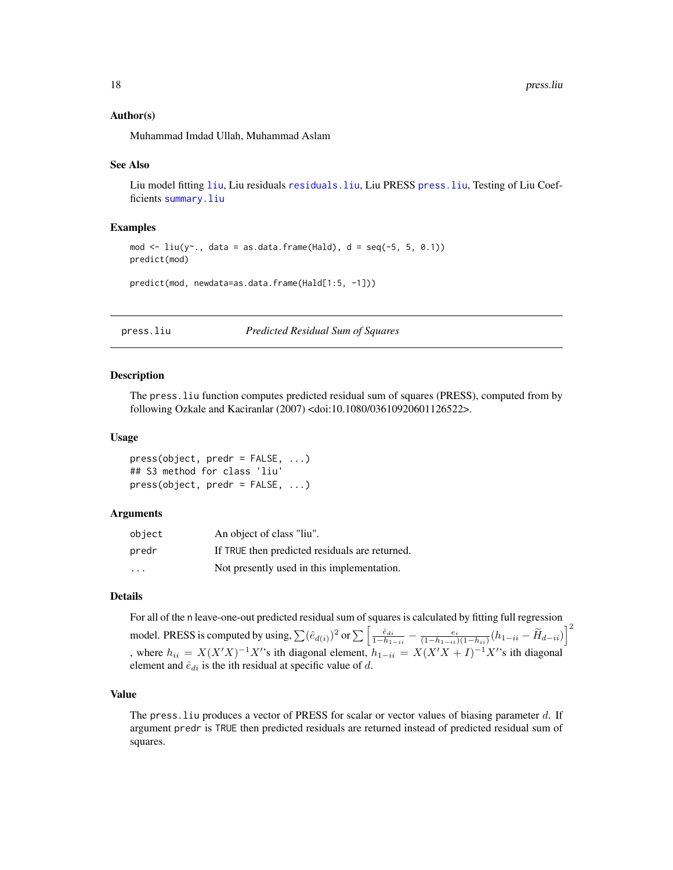#### <span id="page-17-0"></span>Author(s)

Muhammad Imdad Ullah, Muhammad Aslam

#### See Also

Liu model fitting [liu](#page-7-1), Liu residuals [residuals.liu](#page-18-1), Liu PRESS [press.liu](#page-17-1), Testing of Liu Coefficients [summary.liu](#page-20-1)

## Examples

```
mod \le liu(y\le., data = as.data.frame(Hald), d = seq(-5, 5, 0.1))
predict(mod)
```
predict(mod, newdata=as.data.frame(Hald[1:5, -1]))

<span id="page-17-1"></span>

press.liu *Predicted Residual Sum of Squares*

#### <span id="page-17-2"></span>Description

The press.liu function computes predicted residual sum of squares (PRESS), computed from by following Ozkale and Kaciranlar (2007) <doi:10.1080/03610920601126522>.

#### Usage

press(object, predr = FALSE, ...) ## S3 method for class 'liu' press(object, predr = FALSE, ...)

#### Arguments

| object | An object of class "liu".                      |
|--------|------------------------------------------------|
| predr  | If TRUE then predicted residuals are returned. |
| .      | Not presently used in this implementation.     |

### Details

For all of the n leave-one-out predicted residual sum of squares is calculated by fitting full regression

model. PRESS is computed by using,  $\sum (\hat{e}_{d(i)})^2$  or  $\sum \left[ \frac{\hat{e}_{di}}{1-h_{1-i}} - \frac{e_i}{(1-h_{1-i})(1-h_{ii})}(h_{1-i}-\widetilde{H}_{d-i}) \right]^2$ , where  $h_{ii} = X(X'X)^{-1}X'$ 's ith diagonal element,  $h_{1-ii} = X(X'X + I)^{-1}X'$ 's ith diagonal element and  $\hat{e}_{di}$  is the ith residual at specific value of d.

# Value

The press. liu produces a vector of PRESS for scalar or vector values of biasing parameter d. If argument predr is TRUE then predicted residuals are returned instead of predicted residual sum of squares.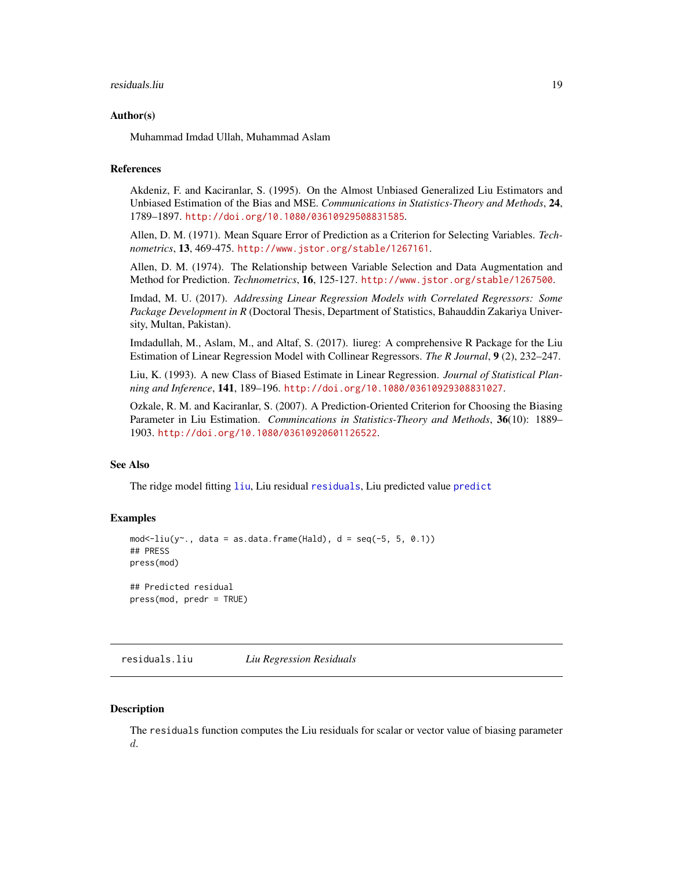#### <span id="page-18-0"></span>residuals.liu 19

#### Author(s)

Muhammad Imdad Ullah, Muhammad Aslam

# References

Akdeniz, F. and Kaciranlar, S. (1995). On the Almost Unbiased Generalized Liu Estimators and Unbiased Estimation of the Bias and MSE. *Communications in Statistics-Theory and Methods*, 24, 1789–1897. <http://doi.org/10.1080/03610929508831585>.

Allen, D. M. (1971). Mean Square Error of Prediction as a Criterion for Selecting Variables. *Technometrics*, 13, 469-475. <http://www.jstor.org/stable/1267161>.

Allen, D. M. (1974). The Relationship between Variable Selection and Data Augmentation and Method for Prediction. *Technometrics*, 16, 125-127. <http://www.jstor.org/stable/1267500>.

Imdad, M. U. (2017). *Addressing Linear Regression Models with Correlated Regressors: Some Package Development in R* (Doctoral Thesis, Department of Statistics, Bahauddin Zakariya University, Multan, Pakistan).

Imdadullah, M., Aslam, M., and Altaf, S. (2017). liureg: A comprehensive R Package for the Liu Estimation of Linear Regression Model with Collinear Regressors. *The R Journal*, 9 (2), 232–247.

Liu, K. (1993). A new Class of Biased Estimate in Linear Regression. *Journal of Statistical Planning and Inference*, 141, 189–196. <http://doi.org/10.1080/03610929308831027>.

Ozkale, R. M. and Kaciranlar, S. (2007). A Prediction-Oriented Criterion for Choosing the Biasing Parameter in Liu Estimation. *Commincations in Statistics-Theory and Methods*, 36(10): 1889– 1903. <http://doi.org/10.1080/03610920601126522>.

# See Also

The ridge model fitting [liu](#page-7-1), Liu residual [residuals](#page-18-2), Liu predicted value [predict](#page-16-1)

## Examples

```
mod < -liu(y \sim ., data = as.data frame(Hald), d = seq(-5, 5, 0.1))## PRESS
press(mod)
## Predicted residual
```
press(mod, predr = TRUE)

<span id="page-18-1"></span>residuals.liu *Liu Regression Residuals*

#### <span id="page-18-2"></span>**Description**

The residuals function computes the Liu residuals for scalar or vector value of biasing parameter d.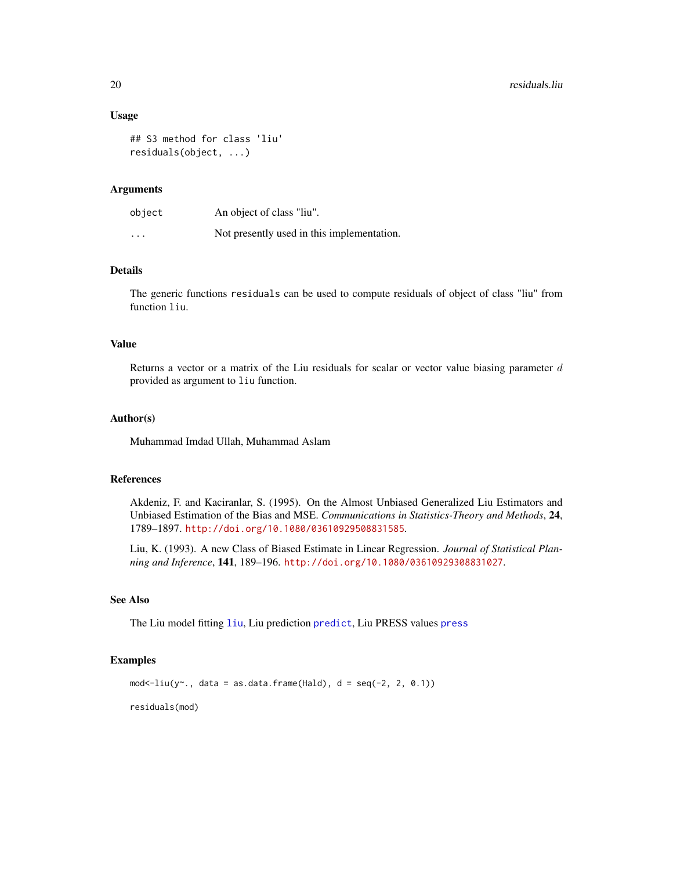## Usage

```
## S3 method for class 'liu'
residuals(object, ...)
```
### Arguments

| object   | An object of class "liu".                  |
|----------|--------------------------------------------|
| $\cdots$ | Not presently used in this implementation. |

# Details

The generic functions residuals can be used to compute residuals of object of class "liu" from function liu.

## Value

Returns a vector or a matrix of the Liu residuals for scalar or vector value biasing parameter  $d$ provided as argument to liu function.

## Author(s)

Muhammad Imdad Ullah, Muhammad Aslam

# References

Akdeniz, F. and Kaciranlar, S. (1995). On the Almost Unbiased Generalized Liu Estimators and Unbiased Estimation of the Bias and MSE. *Communications in Statistics-Theory and Methods*, 24, 1789–1897. <http://doi.org/10.1080/03610929508831585>.

Liu, K. (1993). A new Class of Biased Estimate in Linear Regression. *Journal of Statistical Planning and Inference*, 141, 189–196. <http://doi.org/10.1080/03610929308831027>.

## See Also

The Liu model fitting [liu](#page-7-1), Liu prediction [predict](#page-16-1), Liu PRESS values [press](#page-17-2)

#### Examples

 $mod < -liu(y - 1, data = as.data frame(Hald), d = seq(-2, 2, 0.1))$ 

residuals(mod)

<span id="page-19-0"></span>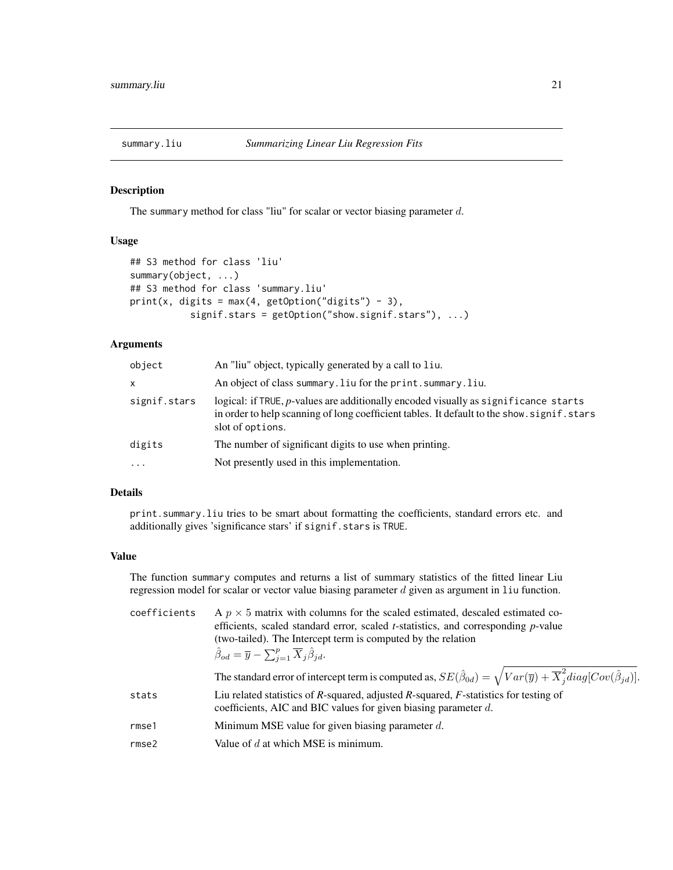<span id="page-20-1"></span><span id="page-20-0"></span>

The summary method for class "liu" for scalar or vector biasing parameter  $d$ .

# Usage

```
## S3 method for class 'liu'
summary(object, ...)
## S3 method for class 'summary.liu'
print(x, digits = max(4, getOption("digits") - 3),signif.stars = getOption("show.signif.stars"), ...)
```
# Arguments

| object       | An "liu" object, typically generated by a call to liu.                                                                                                                                                 |
|--------------|--------------------------------------------------------------------------------------------------------------------------------------------------------------------------------------------------------|
| x            | An object of class summary. liu for the print. summary. liu.                                                                                                                                           |
| signif.stars | logical: if TRUE, p-values are additionally encoded visually as significance starts<br>in order to help scanning of long coefficient tables. It default to the show, signif, stars<br>slot of options. |
| digits       | The number of significant digits to use when printing.                                                                                                                                                 |
| $\cdots$     | Not presently used in this implementation.                                                                                                                                                             |

## Details

print.summary.liu tries to be smart about formatting the coefficients, standard errors etc. and additionally gives 'significance stars' if signif.stars is TRUE.

#### Value

The function summary computes and returns a list of summary statistics of the fitted linear Liu regression model for scalar or vector value biasing parameter  $d$  given as argument in  $1$ iu function.

coefficients A  $p \times 5$  matrix with columns for the scaled estimated, descaled estimated coefficients, scaled standard error, scaled *t*-statistics, and corresponding *p*-value (two-tailed). The Intercept term is computed by the relation  $\hat{\beta}_{od} = \overline{y} - \sum_{j=1}^{p} \overline{X}_{j} \hat{\beta}_{jd}.$ The standard error of intercept term is computed as,  $SE(\hat{\beta}_{0d}) = \sqrt{Var(\overline{y}) + \overline{X}_{j}^{2} diag[Cov(\hat{\beta}_{jd})]}$ . stats Liu related statistics of *R*-squared, adjusted *R*-squared, *F*-statistics for testing of coefficients, AIC and BIC values for given biasing parameter d. rmse1 Minimum MSE value for given biasing parameter  $d$ . rmse2 Value of  $d$  at which MSE is minimum.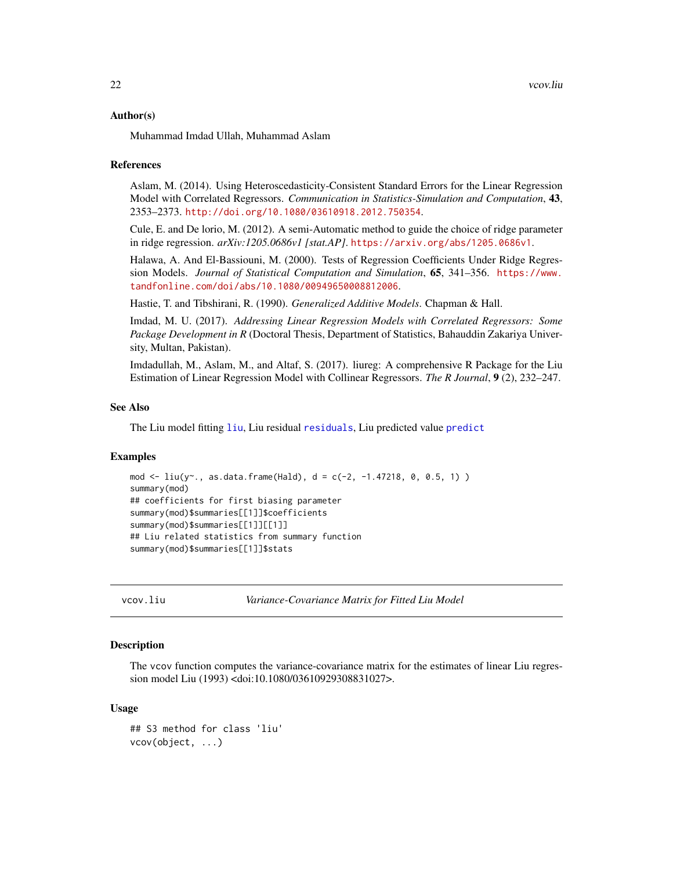#### <span id="page-21-0"></span>Author(s)

Muhammad Imdad Ullah, Muhammad Aslam

#### References

Aslam, M. (2014). Using Heteroscedasticity-Consistent Standard Errors for the Linear Regression Model with Correlated Regressors. *Communication in Statistics-Simulation and Computation*, 43, 2353–2373. <http://doi.org/10.1080/03610918.2012.750354>.

Cule, E. and De lorio, M. (2012). A semi-Automatic method to guide the choice of ridge parameter in ridge regression. *arXiv:1205.0686v1 [stat.AP]*. <https://arxiv.org/abs/1205.0686v1>.

Halawa, A. And El-Bassiouni, M. (2000). Tests of Regression Coefficients Under Ridge Regression Models. *Journal of Statistical Computation and Simulation*, 65, 341–356. [https://www.](https://www.tandfonline.com/doi/abs/10.1080/00949650008812006) [tandfonline.com/doi/abs/10.1080/00949650008812006](https://www.tandfonline.com/doi/abs/10.1080/00949650008812006).

Hastie, T. and Tibshirani, R. (1990). *Generalized Additive Models*. Chapman & Hall.

Imdad, M. U. (2017). *Addressing Linear Regression Models with Correlated Regressors: Some Package Development in R* (Doctoral Thesis, Department of Statistics, Bahauddin Zakariya University, Multan, Pakistan).

Imdadullah, M., Aslam, M., and Altaf, S. (2017). liureg: A comprehensive R Package for the Liu Estimation of Linear Regression Model with Collinear Regressors. *The R Journal*, 9 (2), 232–247.

#### See Also

The Liu model fitting [liu](#page-7-1), Liu residual [residuals](#page-18-2), Liu [predict](#page-16-1)ed value predict

#### Examples

```
mod <- liu(y 
c, as.data.frame(Hald), d = c(-2, -1.47218, 0, 0.5, 1) )
summary(mod)
## coefficients for first biasing parameter
summary(mod)$summaries[[1]]$coefficients
summary(mod)$summaries[[1]][[1]]
## Liu related statistics from summary function
summary(mod)$summaries[[1]]$stats
```
vcov.liu *Variance-Covariance Matrix for Fitted Liu Model*

#### Description

The vcov function computes the variance-covariance matrix for the estimates of linear Liu regression model Liu (1993) <doi:10.1080/03610929308831027>.

## Usage

```
## S3 method for class 'liu'
vcov(object, ...)
```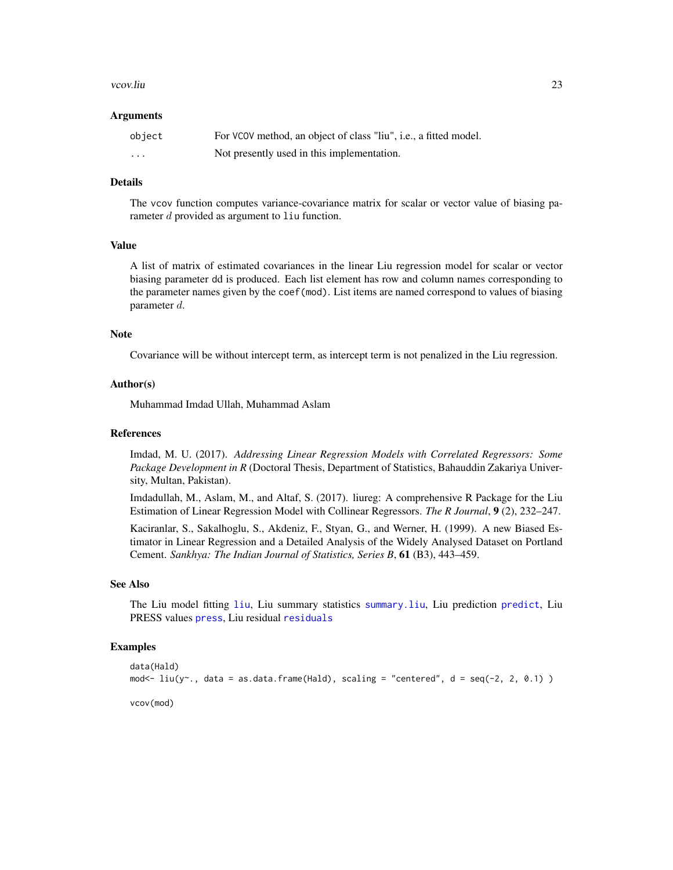#### <span id="page-22-0"></span>vcov.liu 23

#### Arguments

| object                  | For VCOV method, an object of class "liu", i.e., a fitted model. |
|-------------------------|------------------------------------------------------------------|
| $\cdot$ $\cdot$ $\cdot$ | Not presently used in this implementation.                       |

#### Details

The vcov function computes variance-covariance matrix for scalar or vector value of biasing parameter  $d$  provided as argument to  $1$ iu function.

## Value

A list of matrix of estimated covariances in the linear Liu regression model for scalar or vector biasing parameter dd is produced. Each list element has row and column names corresponding to the parameter names given by the coef(mod). List items are named correspond to values of biasing parameter d.

## Note

Covariance will be without intercept term, as intercept term is not penalized in the Liu regression.

#### Author(s)

Muhammad Imdad Ullah, Muhammad Aslam

### References

Imdad, M. U. (2017). *Addressing Linear Regression Models with Correlated Regressors: Some Package Development in R* (Doctoral Thesis, Department of Statistics, Bahauddin Zakariya University, Multan, Pakistan).

Imdadullah, M., Aslam, M., and Altaf, S. (2017). liureg: A comprehensive R Package for the Liu Estimation of Linear Regression Model with Collinear Regressors. *The R Journal*, 9 (2), 232–247.

Kaciranlar, S., Sakalhoglu, S., Akdeniz, F., Styan, G., and Werner, H. (1999). A new Biased Estimator in Linear Regression and a Detailed Analysis of the Widely Analysed Dataset on Portland Cement. *Sankhya: The Indian Journal of Statistics, Series B*, 61 (B3), 443–459.

#### See Also

The Liu model fitting [liu](#page-7-1), Liu summary statistics [summary.liu](#page-20-1), Liu prediction [predict](#page-16-1), Liu PRESS values [press](#page-17-2), Liu residual [residuals](#page-18-2)

## Examples

```
data(Hald)
mod <- liu(y \sim ., data = as.data.frame(Hald), scaling = "centered", d = seq(-2, 2, 0.1) )
vcov(mod)
```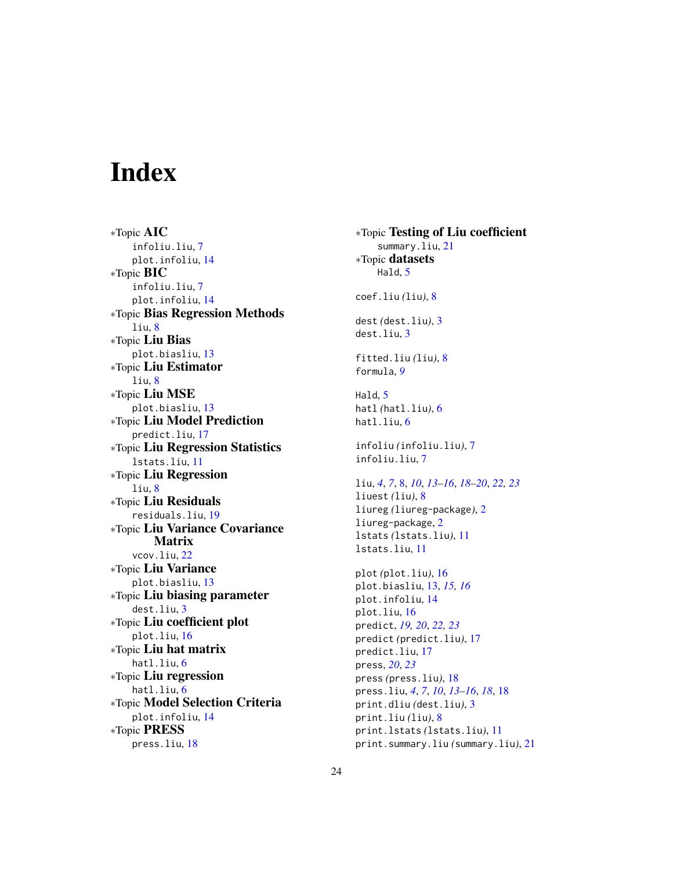# <span id="page-23-0"></span>Index

∗Topic AIC infoliu.liu, [7](#page-6-0) plot.infoliu, [14](#page-13-0) ∗Topic BIC infoliu.liu, [7](#page-6-0) plot.infoliu, [14](#page-13-0) ∗Topic Bias Regression Methods liu, [8](#page-7-0) ∗Topic Liu Bias plot.biasliu, [13](#page-12-0) ∗Topic Liu Estimator liu, [8](#page-7-0) ∗Topic Liu MSE plot.biasliu, [13](#page-12-0) ∗Topic Liu Model Prediction predict.liu, [17](#page-16-0) ∗Topic Liu Regression Statistics lstats.liu, [11](#page-10-0) ∗Topic Liu Regression liu, [8](#page-7-0) ∗Topic Liu Residuals residuals.liu, [19](#page-18-0) ∗Topic Liu Variance Covariance Matrix vcov.liu, [22](#page-21-0) ∗Topic Liu Variance plot.biasliu, [13](#page-12-0) ∗Topic Liu biasing parameter dest.liu, [3](#page-2-0) ∗Topic Liu coefficient plot plot.liu, [16](#page-15-0) ∗Topic Liu hat matrix hatl.liu, [6](#page-5-0) ∗Topic Liu regression hatl.liu, [6](#page-5-0) ∗Topic Model Selection Criteria plot.infoliu, [14](#page-13-0) ∗Topic PRESS press.liu, [18](#page-17-0)

∗Topic Testing of Liu coefficient summary.liu, [21](#page-20-0) ∗Topic datasets Hald, [5](#page-4-0) coef.liu *(*liu*)*, [8](#page-7-0) dest *(*dest.liu*)*, [3](#page-2-0) dest.liu, [3](#page-2-0) fitted.liu *(*liu*)*, [8](#page-7-0) formula, *[9](#page-8-0)* Hald, [5](#page-4-0) hatl *(*hatl.liu*)*, [6](#page-5-0) hatl.liu, [6](#page-5-0) infoliu *(*infoliu.liu*)*, [7](#page-6-0) infoliu.liu, [7](#page-6-0) liu, *[4](#page-3-0)*, *[7](#page-6-0)*, [8,](#page-7-0) *[10](#page-9-0)*, *[13](#page-12-0)[–16](#page-15-0)*, *[18](#page-17-0)[–20](#page-19-0)*, *[22,](#page-21-0) [23](#page-22-0)* liuest *(*liu*)*, [8](#page-7-0) liureg *(*liureg-package*)*, [2](#page-1-0) liureg-package, [2](#page-1-0) lstats *(*lstats.liu*)*, [11](#page-10-0) lstats.liu, [11](#page-10-0) plot *(*plot.liu*)*, [16](#page-15-0) plot.biasliu, [13,](#page-12-0) *[15,](#page-14-0) [16](#page-15-0)* plot.infoliu, [14](#page-13-0) plot.liu, [16](#page-15-0) predict, *[19,](#page-18-0) [20](#page-19-0)*, *[22,](#page-21-0) [23](#page-22-0)* predict *(*predict.liu*)*, [17](#page-16-0) predict.liu, [17](#page-16-0) press, *[20](#page-19-0)*, *[23](#page-22-0)* press *(*press.liu*)*, [18](#page-17-0) press.liu, *[4](#page-3-0)*, *[7](#page-6-0)*, *[10](#page-9-0)*, *[13](#page-12-0)[–16](#page-15-0)*, *[18](#page-17-0)*, [18](#page-17-0) print.dliu *(*dest.liu*)*, [3](#page-2-0) print.liu *(*liu*)*, [8](#page-7-0) print.lstats *(*lstats.liu*)*, [11](#page-10-0)

print.summary.liu *(*summary.liu*)*, [21](#page-20-0)